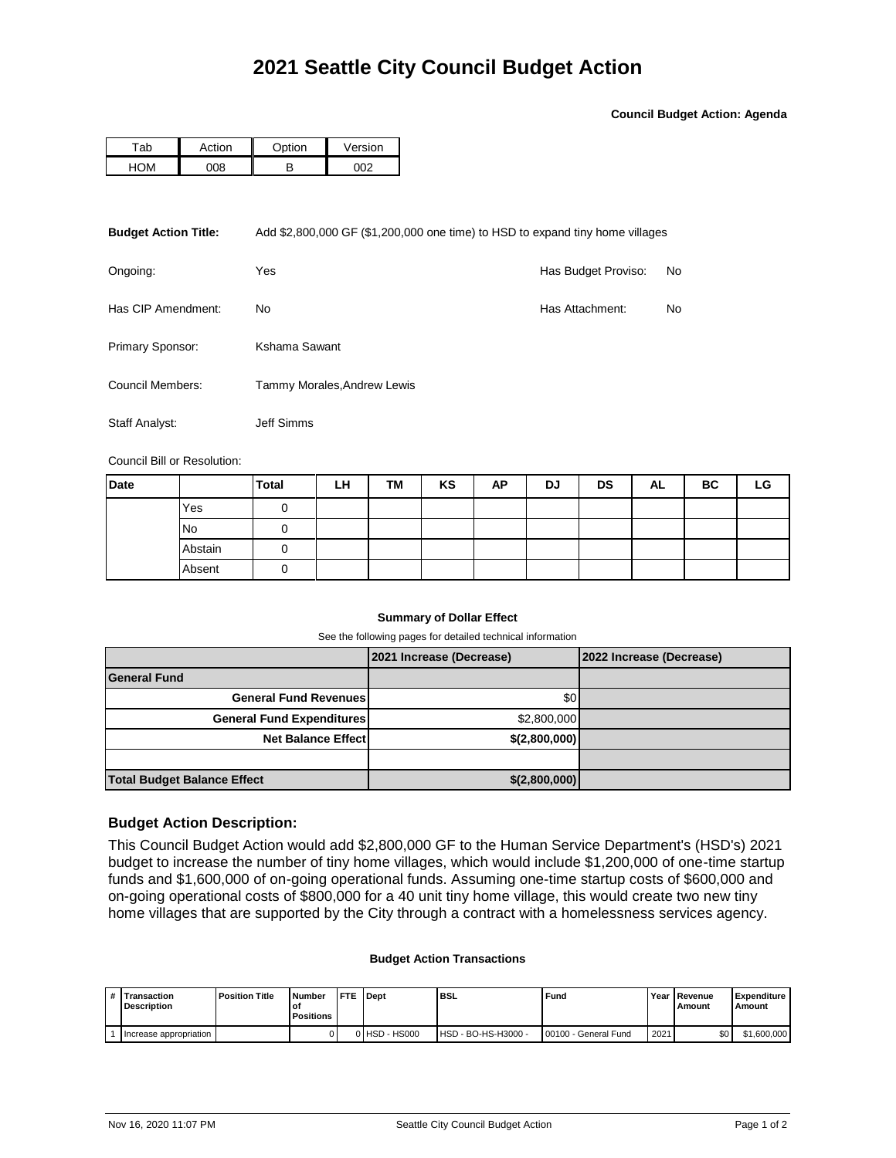**Council Budget Action: Agenda**

| ำ<br>au | Action | $\sim$ tion | Version |
|---------|--------|-------------|---------|
|         | ነበጸ    | D           |         |

| <b>Budget Action Title:</b> | Add \$2,800,000 GF (\$1,200,000 one time) to HSD to expand tiny home villages |                     |    |  |  |  |  |
|-----------------------------|-------------------------------------------------------------------------------|---------------------|----|--|--|--|--|
| Ongoing:                    | Yes                                                                           | Has Budget Proviso: | No |  |  |  |  |
| Has CIP Amendment:          | No                                                                            | Has Attachment:     | No |  |  |  |  |
| Primary Sponsor:            | Kshama Sawant                                                                 |                     |    |  |  |  |  |
| Council Members:            | Tammy Morales, Andrew Lewis                                                   |                     |    |  |  |  |  |
| Staff Analyst:              | <b>Jeff Simms</b>                                                             |                     |    |  |  |  |  |

Council Bill or Resolution:

| <b>Date</b> |         | <b>Total</b> | LH | TM | KS | ΑP | DJ | <b>DS</b> | AL | ВC | LG |
|-------------|---------|--------------|----|----|----|----|----|-----------|----|----|----|
|             | Yes     |              |    |    |    |    |    |           |    |    |    |
|             | No      |              |    |    |    |    |    |           |    |    |    |
|             | Abstain |              |    |    |    |    |    |           |    |    |    |
|             | Absent  | O            |    |    |    |    |    |           |    |    |    |

## **Summary of Dollar Effect**

See the following pages for detailed technical information

|                                    | 2021 Increase (Decrease) | 2022 Increase (Decrease) |
|------------------------------------|--------------------------|--------------------------|
| <b>General Fund</b>                |                          |                          |
| <b>General Fund Revenues</b>       | \$0                      |                          |
| <b>General Fund Expenditures</b>   | \$2,800,000              |                          |
| <b>Net Balance Effect</b>          | \$(2,800,000)            |                          |
|                                    |                          |                          |
| <b>Total Budget Balance Effect</b> | \$(2,800,000)            |                          |

## **Budget Action Description:**

This Council Budget Action would add \$2,800,000 GF to the Human Service Department's (HSD's) 2021 budget to increase the number of tiny home villages, which would include \$1,200,000 of one-time startup funds and \$1,600,000 of on-going operational funds. Assuming one-time startup costs of \$600,000 and on-going operational costs of \$800,000 for a 40 unit tiny home village, this would create two new tiny home villages that are supported by the City through a contract with a homelessness services agency.

## **Budget Action Transactions**

| <b>Fransaction</b><br><b>Description</b> | <b>Position Title</b> | <b>Number</b><br>οt<br><b>Positions</b> | <b>FTE</b> | <b>I</b> Dept | <b>BSL</b>          | Fund                 |      | Year Revenue<br>l Amount | <b>Expenditure</b><br>Amount |
|------------------------------------------|-----------------------|-----------------------------------------|------------|---------------|---------------------|----------------------|------|--------------------------|------------------------------|
| Increase appropriation                   |                       |                                         |            | 0 HSD - HS000 | HSD - BO-HS-H3000 - | 00100 - General Fund | 2021 | \$0                      | \$1,600,000                  |